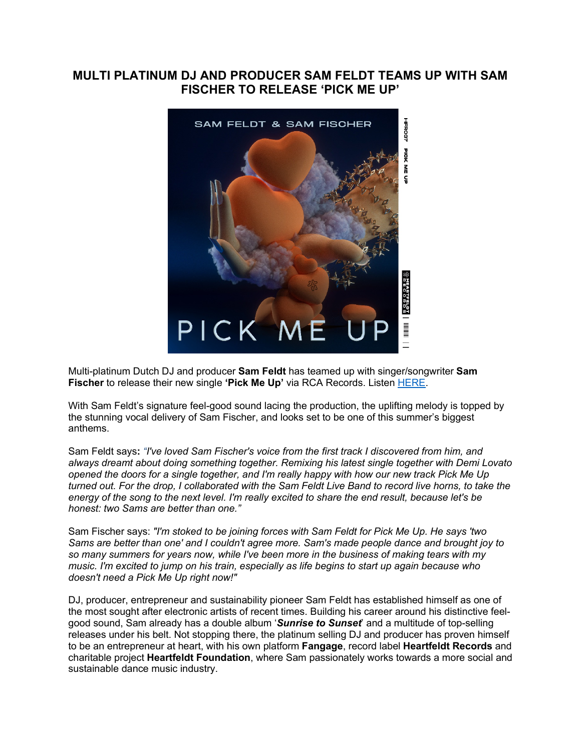## **MULTI PLATINUM DJ AND PRODUCER SAM FELDT TEAMS UP WITH SAM FISCHER TO RELEASE 'PICK ME UP'**



Multi-platinum Dutch DJ and producer **Sam Feldt** has teamed up with singer/songwriter **Sam Fischer** to release their new single **'Pick Me Up'** via RCA Records. Listen [HERE.](https://eur01.safelinks.protection.outlook.com/?url=https%3A%2F%2Fsmfschr.com%2FPickMeUp&data=04%7C01%7Ckirsten.mikkelson%40rcarecords.com%7C3787d887edd0422f683308d9218e3389%7Cf0aff3b791a54aaeaf71c63e1dda2049%7C0%7C0%7C637577716904029356%7CUnknown%7CTWFpbGZsb3d8eyJWIjoiMC4wLjAwMDAiLCJQIjoiV2luMzIiLCJBTiI6Ik1haWwiLCJXVCI6Mn0%3D%7C1000&sdata=46CaXVE54nE3HUQ0Vepy2IdOMqnLK8gqLwDnClbeoCI%3D&reserved=0)

With Sam Feldt's signature feel-good sound lacing the production, the uplifting melody is topped by the stunning vocal delivery of Sam Fischer, and looks set to be one of this summer's biggest anthems.

Sam Feldt says**:** *"I've loved Sam Fischer's voice from the first track I discovered from him, and always dreamt about doing something together. Remixing his latest single together with Demi Lovato opened the doors for a single together, and I'm really happy with how our new track Pick Me Up turned out. For the drop, I collaborated with the Sam Feldt Live Band to record live horns, to take the energy of the song to the next level. I'm really excited to share the end result, because let's be honest: two Sams are better than one."*

Sam Fischer says: *"I'm stoked to be joining forces with Sam Feldt for Pick Me Up. He says 'two Sams are better than one' and I couldn't agree more. Sam's made people dance and brought joy to so many summers for years now, while I've been more in the business of making tears with my music. I'm excited to jump on his train, especially as life begins to start up again because who doesn't need a Pick Me Up right now!"*

DJ, producer, entrepreneur and sustainability pioneer Sam Feldt has established himself as one of the most sought after electronic artists of recent times. Building his career around his distinctive feelgood sound, Sam already has a double album '*Sunrise to Sunset*' and a multitude of top-selling releases under his belt. Not stopping there, the platinum selling DJ and producer has proven himself to be an entrepreneur at heart, with his own platform **Fangage**, record label **Heartfeldt Records** and charitable project **Heartfeldt Foundation**, where Sam passionately works towards a more social and sustainable dance music industry.